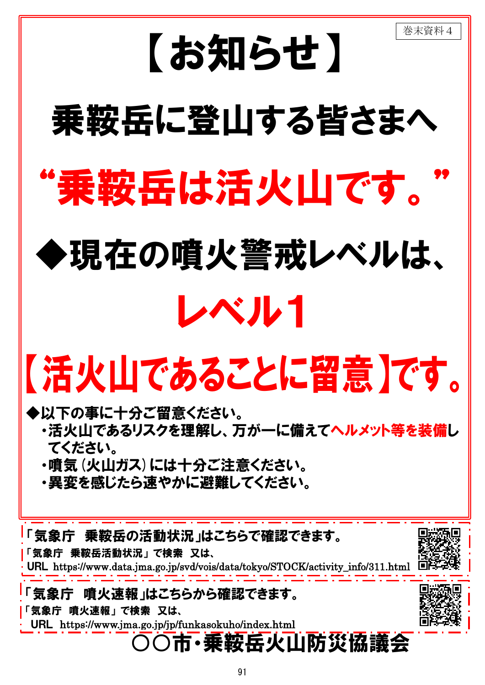

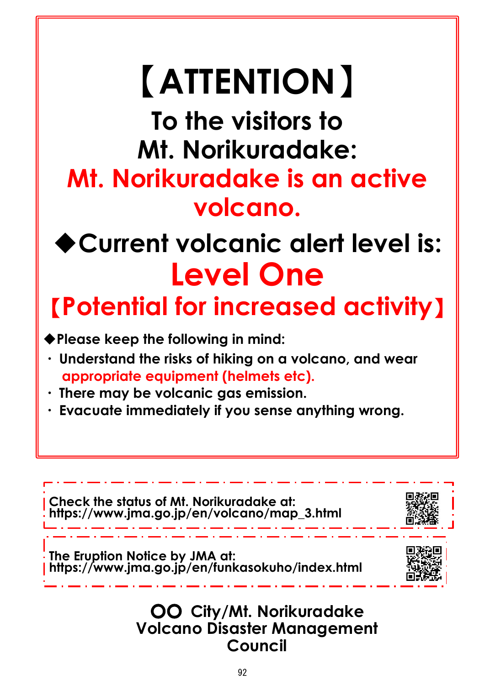#### 〇〇 **City/Mt. Norikuradake Volcano Disaster Management Council**

# 【**ATTENTION**】

**To the visitors to Mt. Norikuradake: Mt. Norikuradake is an active volcano.**

# ◆**Current volcanic alert level is: Level One**

【**Potential for increased activity**】

◆**Please keep the following in mind:**



- ・ **Understand the risks of hiking on a volcano, and wear appropriate equipment (helmets etc).**
- ・ **There may be volcanic gas emission.**
- ・ **Evacuate immediately if you sense anything wrong.**

**Check the status of Mt. Norikuradake at:**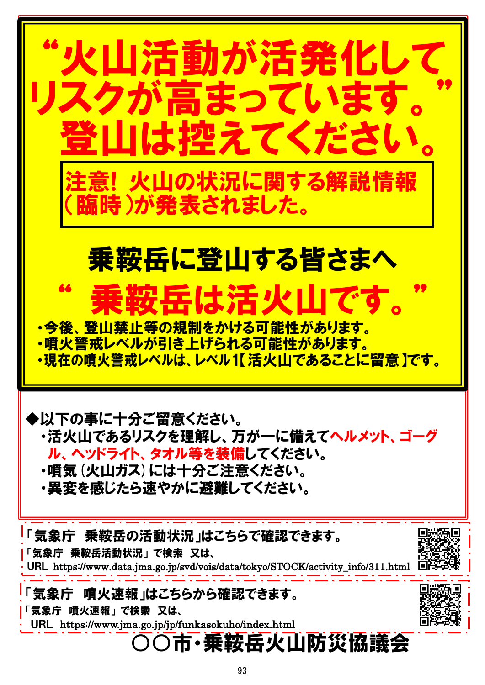

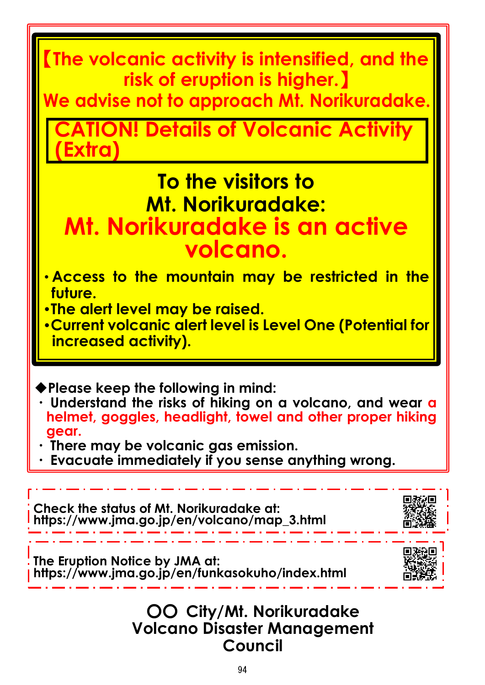◆**Please keep the following in mind:**

- ・ **Understand the risks of hiking on a volcano, and wear a helmet, goggles, headlight, towel and other proper hiking gear.**
- ・ **There may be volcanic gas emission.**
- Evacuate immediately if you sense anything wrong.

**ION! Details of Volcanic Activity (Extra)**

#### 〇〇 **City/Mt. Norikuradake Volcano Disaster Management Council**

【**The volcanic activity is intensified, and the risk of eruption is higher.**】

**We advise not to approach Mt. Norikuradake.**

### **To the visitors to Mt. Norikuradake: Mt. Norikuradake is an active volcano.**

- ・**Access to the mountain may be restricted in the future.**
- ・**The alert level may be raised.**
- ・**Current volcanic alert level is Level One (Potential for increased activity).**

**The Eruption Notice by JMA at: https://www.jma.go.jp/en/funkasokuho/index.html**



**Check the status of Mt. Norikuradake at:** 

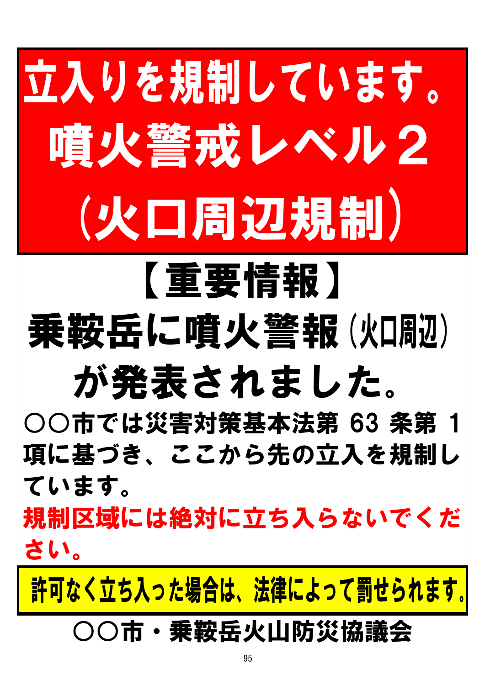# 立入りを規制しています。 噴火警戒レベル2 (火口周辺規制)

# 【重要情報】 乗鞍岳に噴火警報(火回迎)

# が発表されました。

○○市では災害対策基本法第 63 条第 1 項に基づき、ここから先の立入を規制し ています。

規制区域には絶対に立ち入らないでくだ さい。

許可なく立ち入った場合は、法律によって罰せられます。

### ○○市・乗鞍岳火山防災協議会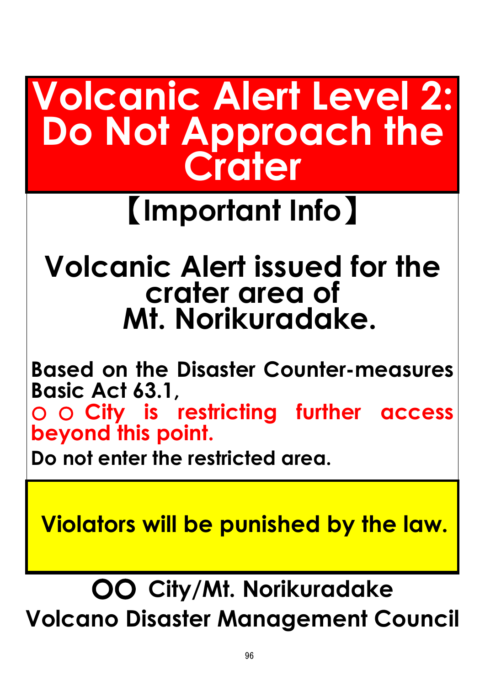## **Volcanic Alert Level 2: Do Not Approach the Crater**

## 【**Important Info**】

#### **Volcanic Alert issued for the crater area of Mt. Norikuradake.**

**Based on the Disaster Counter-measures Basic Act 63.1,** 

○ ○ **City is restricting further access beyond this point.**

**Do not enter the restricted area.**

**Violators will be punished by the law.**

〇〇 **City/Mt. Norikuradake Volcano Disaster Management Council**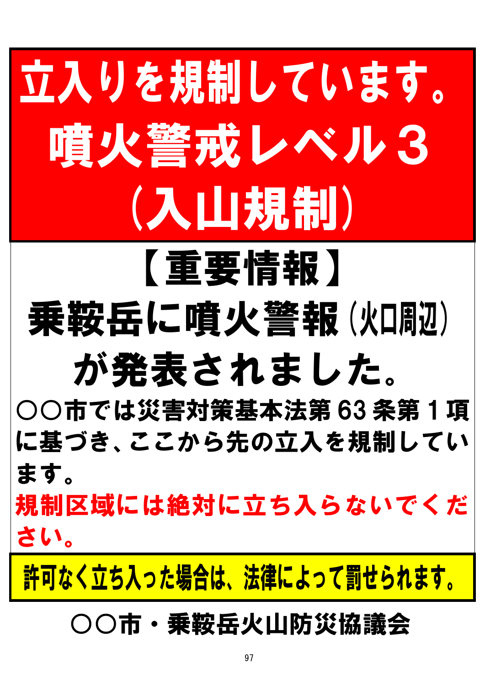# 立入りを規制しています。 噴火警戒レベル3 (入山規制)

# 乗鞍岳に噴火警報(火口周辺)

【重要情報】

# が発表されました。

○○市では災害対策基本法第 63 条第 1 項 に基づき、ここから先の立入を規制してい ます。

規制区域には絶対に立ち入らないでくだ さい。

許可なく立ち入った場合は、法律によって罰せられます。

### ○○市・乗鞍岳火山防災協議会